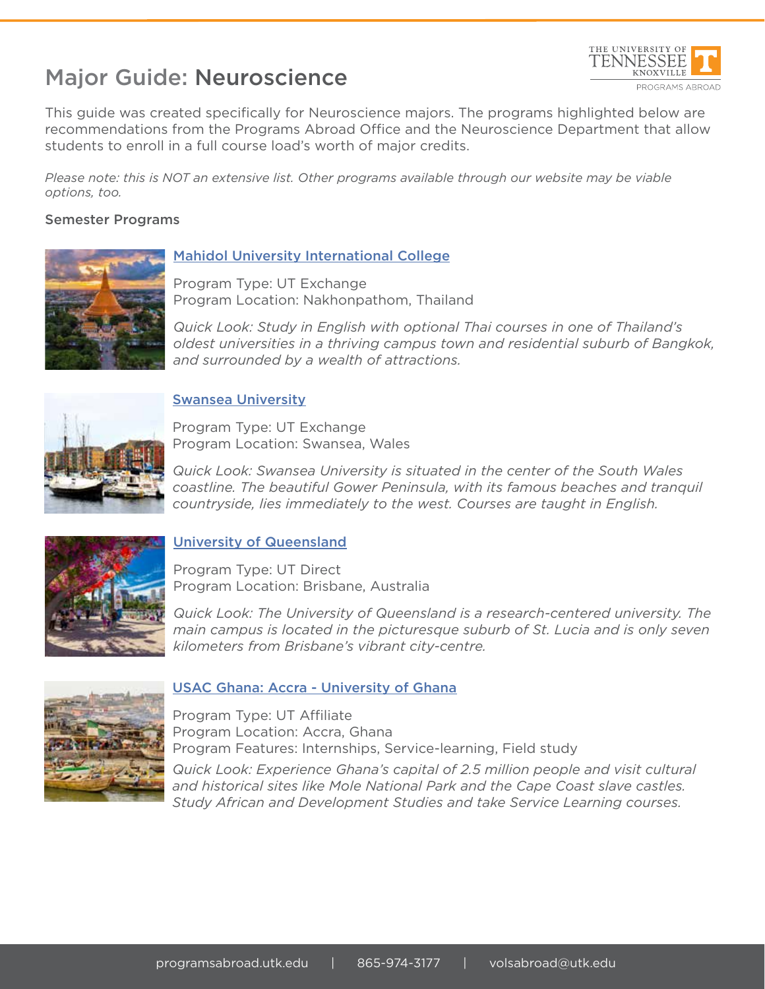# Major Guide: Neuroscience



This guide was created specifically for Neuroscience majors. The programs highlighted below are recommendations from the Programs Abroad Office and the Neuroscience Department that allow students to enroll in a full course load's worth of major credits.

*Please note: this is NOT an extensive list. Other programs available through our website may be viable options, too.*

### Semester Programs



## Mahidol University International College

Program Type: UT Exchange Program Location: Nakhonpathom, Thailand

*Quick Look: Study in English with optional Thai courses in one of Thailand's oldest universities in a thriving campus town and residential suburb of Bangkok, and surrounded by a wealth of attractions.* 



### Swansea University

Program Type: UT Exchange Program Location: Swansea, Wales

*Quick Look: Swansea University is situated in the center of the South Wales coastline. The beautiful Gower Peninsula, with its famous beaches and tranquil countryside, lies immediately to the west. Courses are taught in English.*



### University of Queensland

Program Type: UT Direct Program Location: Brisbane, Australia

*Quick Look: The University of Queensland is a research-centered university. The main campus is located in the picturesque suburb of St. Lucia and is only seven kilometers from Brisbane's vibrant city-centre.*



### USAC Ghana: Accra - University of Ghana

Program Type: UT Affiliate Program Location: Accra, Ghana Program Features: Internships, Service-learning, Field study

*Quick Look: Experience Ghana's capital of 2.5 million people and visit cultural and historical sites like Mole National Park and the Cape Coast slave castles. Study African and Development Studies and take Service Learning courses.*